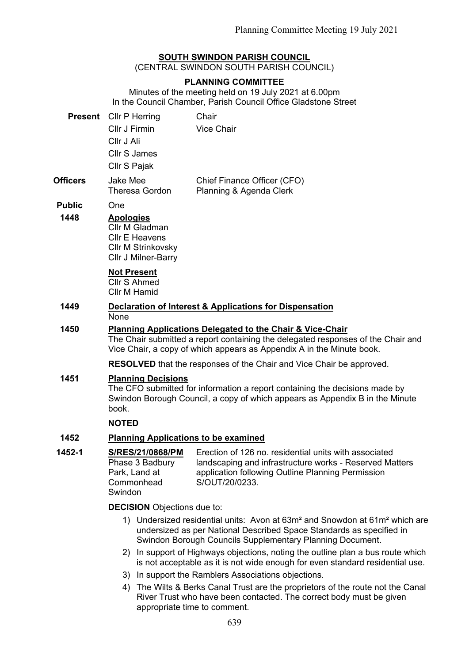# **SOUTH SWINDON PARISH COUNCIL**

(CENTRAL SWINDON SOUTH PARISH COUNCIL)

## **PLANNING COMMITTEE**

Minutes of the meeting held on 19 July 2021 at 6.00pm In the Council Chamber, Parish Council Office Gladstone Street

|                 | <b>Present</b> Cllr P Herring     | Chair                                                  |
|-----------------|-----------------------------------|--------------------------------------------------------|
|                 | Cllr J Firmin                     | <b>Vice Chair</b>                                      |
|                 | Cllr J Ali                        |                                                        |
|                 | Cllr S James                      |                                                        |
|                 | Cllr S Pajak                      |                                                        |
| <b>Officers</b> | Jake Mee<br><b>Theresa Gordon</b> | Chief Finance Officer (CFO)<br>Planning & Agenda Clerk |

**Public** One

#### **1448 Apologies**

Cllr M Gladman Cllr E Heavens Cllr M Strinkovsky Cllr J Milner-Barry

## **Not Present**

Cllr S Ahmed Cllr M Hamid

**1449 Declaration of Interest & Applications for Dispensation** None

## **1450 Planning Applications Delegated to the Chair & Vice-Chair**

The Chair submitted a report containing the delegated responses of the Chair and Vice Chair, a copy of which appears as Appendix A in the Minute book.

**RESOLVED** that the responses of the Chair and Vice Chair be approved.

#### **1451 Planning Decisions**

The CFO submitted for information a report containing the decisions made by Swindon Borough Council, a copy of which appears as Appendix B in the Minute book.

#### **NOTED**

### **1452 Planning Applications to be examined**

**1452-1 S/RES/21/0868/PM** Phase 3 Badbury Park, Land at Commonhead Swindon Erection of 126 no. residential units with associated landscaping and infrastructure works - Reserved Matters application following Outline Planning Permission S/OUT/20/0233.

#### **DECISION** Objections due to:

- 1) Undersized residential units: Avon at 63m² and Snowdon at 61m² which are undersized as per National Described Space Standards as specified in Swindon Borough Councils Supplementary Planning Document.
- 2) In support of Highways objections, noting the outline plan a bus route which is not acceptable as it is not wide enough for even standard residential use.
- 3) In support the Ramblers Associations objections.
- 4) The Wilts & Berks Canal Trust are the proprietors of the route not the Canal River Trust who have been contacted. The correct body must be given appropriate time to comment.